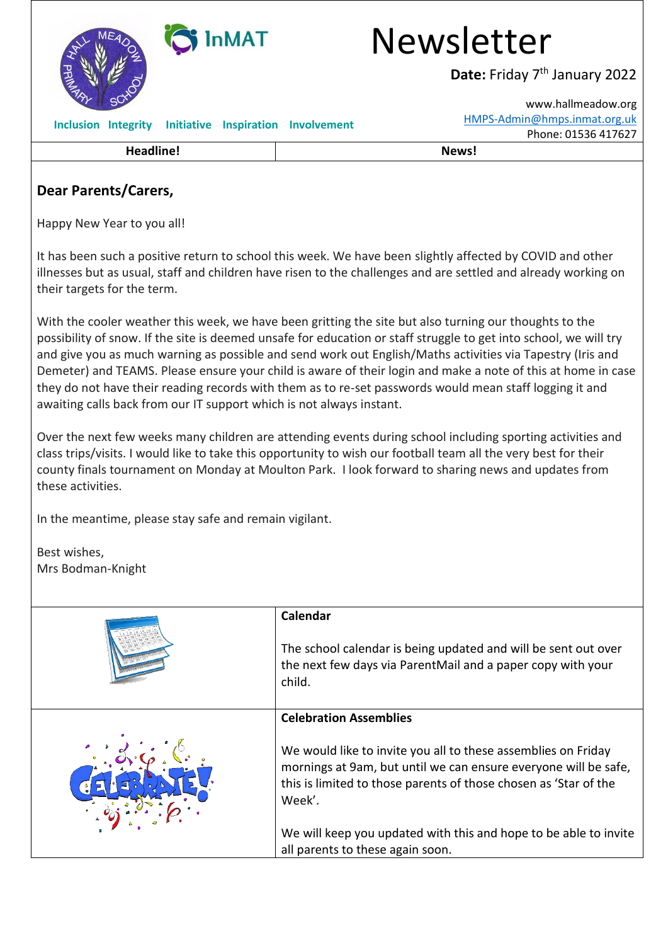

# **Dear Parents/Carers,**

Happy New Year to you all!

It has been such a positive return to school this week. We have been slightly affected by COVID and other illnesses but as usual, staff and children have risen to the challenges and are settled and already working on their targets for the term.

With the cooler weather this week, we have been gritting the site but also turning our thoughts to the possibility of snow. If the site is deemed unsafe for education or staff struggle to get into school, we will try and give you as much warning as possible and send work out English/Maths activities via Tapestry (Iris and Demeter) and TEAMS. Please ensure your child is aware of their login and make a note of this at home in case they do not have their reading records with them as to re-set passwords would mean staff logging it and awaiting calls back from our IT support which is not always instant.

Over the next few weeks many children are attending events during school including sporting activities and class trips/visits. I would like to take this opportunity to wish our football team all the very best for their county finals tournament on Monday at Moulton Park. I look forward to sharing news and updates from these activities.

In the meantime, please stay safe and remain vigilant.

Best wishes, Mrs Bodman-Knight

| Calendar                                                                                                                                                                                                       |
|----------------------------------------------------------------------------------------------------------------------------------------------------------------------------------------------------------------|
| The school calendar is being updated and will be sent out over<br>the next few days via ParentMail and a paper copy with your<br>child.                                                                        |
| <b>Celebration Assemblies</b>                                                                                                                                                                                  |
| We would like to invite you all to these assemblies on Friday<br>mornings at 9am, but until we can ensure everyone will be safe,<br>this is limited to those parents of those chosen as 'Star of the<br>Week'. |
| We will keep you updated with this and hope to be able to invite                                                                                                                                               |
| all parents to these again soon.                                                                                                                                                                               |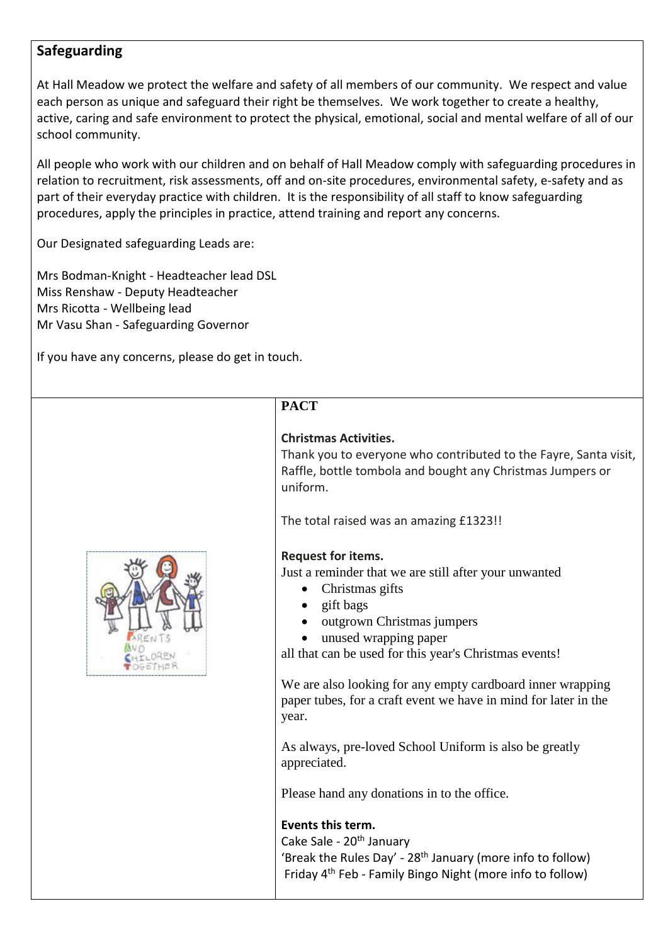## **Safeguarding**

At Hall Meadow we protect the welfare and safety of all members of our community. We respect and value each person as unique and safeguard their right be themselves. We work together to create a healthy, active, caring and safe environment to protect the physical, emotional, social and mental welfare of all of our school community.

All people who work with our children and on behalf of Hall Meadow comply with safeguarding procedures in relation to recruitment, risk assessments, off and on-site procedures, environmental safety, e-safety and as part of their everyday practice with children. It is the responsibility of all staff to know safeguarding procedures, apply the principles in practice, attend training and report any concerns.

Our Designated safeguarding Leads are:

• Mrs Bodman-Knight - Headteacher lead DSL • Miss Renshaw - Deputy Headteacher • Mrs Ricotta - Wellbeing lead • Mr Vasu Shan - Safeguarding Governor

If you have any concerns, please do get in touch.

# **PACT**

### **Christmas Activities.**

Thank you to everyone who contributed to the Fayre, Santa visit, Raffle, bottle tombola and bought any Christmas Jumpers or uniform.

The total raised was an amazing £1323!!

#### **Request for items.**

Just a reminder that we are still after your unwanted

- Christmas gifts
- gift bags
- outgrown Christmas jumpers
- unused wrapping paper

all that can be used for this year's Christmas events!

We are also looking for any empty cardboard inner wrapping paper tubes, for a craft event we have in mind for later in the year.

As always, pre-loved School Uniform is also be greatly appreciated.

Please hand any donations in to the office.

#### **Events this term.**

Cake Sale - 20<sup>th</sup> January 'Break the Rules Day' - 28<sup>th</sup> January (more info to follow) Friday 4th Feb - Family Bingo Night (more info to follow)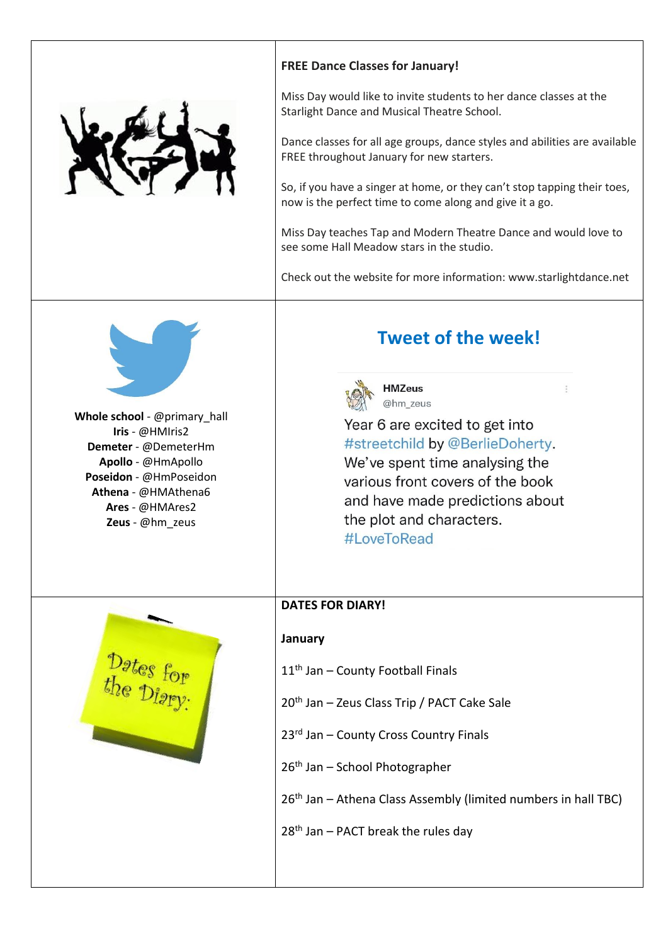

**Whole school** - @primary\_hall **Iris** - @HMIris2 **Demeter** - @DemeterHm **Apollo** - @HmApollo **Poseidon** - @HmPoseidon **Athena** - @HMAthena6 **Ares** - @HMAres2 **Zeus** - @hm\_zeus

### **FREE Dance Classes for January!**

Miss Day would like to invite students to her dance classes at the Starlight Dance and Musical Theatre School.

Dance classes for all age groups, dance styles and abilities are available FREE throughout January for new starters.

So, if you have a singer at home, or they can't stop tapping their toes, now is the perfect time to come along and give it a go.

Miss Day teaches Tap and Modern Theatre Dance and would love to see some Hall Meadow stars in the studio.

Check out the website for more information: www.starlightdance.net

# **Tweet of the week!**



**HMZeus** @hm zeus

 $\frac{a}{a}$ 

Year 6 are excited to get into #streetchild by @BerlieDoherty. We've spent time analysing the various front covers of the book and have made predictions about the plot and characters. #LoveToRead

#### **DATES FOR DIARY!**

#### **January**

- 11<sup>th</sup> Jan County Football Finals
- 20th Jan Zeus Class Trip / PACT Cake Sale
- 23rd Jan County Cross Country Finals
- 26th Jan School Photographer

26<sup>th</sup> Jan – Athena Class Assembly (limited numbers in hall TBC)

28th Jan – PACT break the rules day